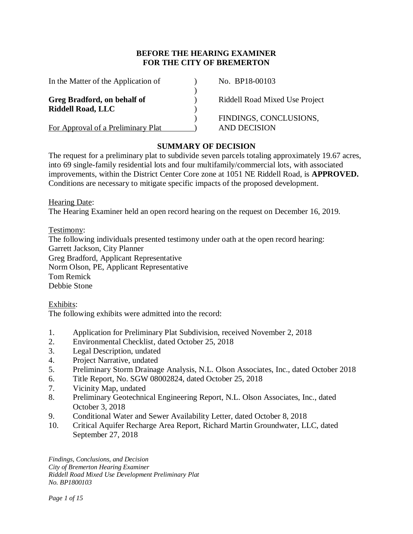## **BEFORE THE HEARING EXAMINER FOR THE CITY OF BREMERTON**

| In the Matter of the Application of                     | No. BP18-00103                 |
|---------------------------------------------------------|--------------------------------|
| Greg Bradford, on behalf of<br><b>Riddell Road, LLC</b> | Riddell Road Mixed Use Project |
|                                                         | FINDINGS, CONCLUSIONS,         |
| For Approval of a Preliminary Plat                      | AND DECISION                   |

## **SUMMARY OF DECISION**

The request for a preliminary plat to subdivide seven parcels totaling approximately 19.67 acres, into 69 single-family residential lots and four multifamily/commercial lots, with associated improvements, within the District Center Core zone at 1051 NE Riddell Road, is **APPROVED.**  Conditions are necessary to mitigate specific impacts of the proposed development.

Hearing Date:

The Hearing Examiner held an open record hearing on the request on December 16, 2019.

Testimony:

The following individuals presented testimony under oath at the open record hearing: Garrett Jackson, City Planner Greg Bradford, Applicant Representative Norm Olson, PE, Applicant Representative Tom Remick Debbie Stone

Exhibits:

The following exhibits were admitted into the record:

- 1. Application for Preliminary Plat Subdivision, received November 2, 2018
- 2. Environmental Checklist, dated October 25, 2018
- 3. Legal Description, undated
- 4. Project Narrative, undated
- 5. Preliminary Storm Drainage Analysis, N.L. Olson Associates, Inc., dated October 2018
- 6. Title Report, No. SGW 08002824, dated October 25, 2018
- 7. Vicinity Map, undated
- 8. Preliminary Geotechnical Engineering Report, N.L. Olson Associates, Inc., dated October 3, 2018
- 9. Conditional Water and Sewer Availability Letter, dated October 8, 2018
- 10. Critical Aquifer Recharge Area Report, Richard Martin Groundwater, LLC, dated September 27, 2018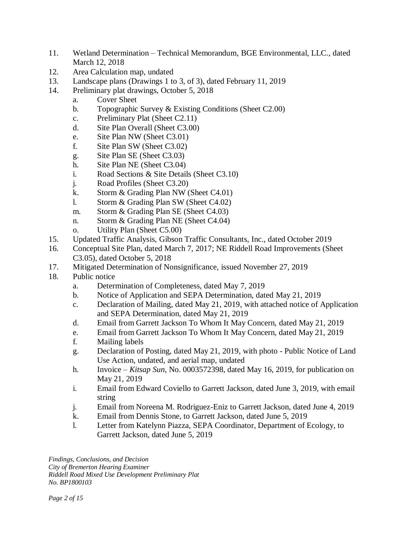- 11. Wetland Determination Technical Memorandum, BGE Environmental, LLC., dated March 12, 2018
- 12. Area Calculation map, undated
- 13. Landscape plans (Drawings 1 to 3, of 3), dated February 11, 2019
- 14. Preliminary plat drawings, October 5, 2018
	- a. Cover Sheet
	- b. Topographic Survey & Existing Conditions (Sheet C2.00)
	- c. Preliminary Plat (Sheet C2.11)
	- d. Site Plan Overall (Sheet C3.00)
	- e. Site Plan NW (Sheet C3.01)
	- f. Site Plan SW (Sheet C3.02)
	- g. Site Plan SE (Sheet C3.03)
	- h. Site Plan NE (Sheet C3.04)
	- i. Road Sections & Site Details (Sheet C3.10)
	- j. Road Profiles (Sheet C3.20)
	- k. Storm & Grading Plan NW (Sheet C4.01)
	- l. Storm & Grading Plan SW (Sheet C4.02)
	- m. Storm & Grading Plan SE (Sheet C4.03)
	- n. Storm & Grading Plan NE (Sheet C4.04)
	- o. Utility Plan (Sheet C5.00)
- 15. Updated Traffic Analysis, Gibson Traffic Consultants, Inc., dated October 2019
- 16. Conceptual Site Plan, dated March 7, 2017; NE Riddell Road Improvements (Sheet C3.05), dated October 5, 2018
- 17. Mitigated Determination of Nonsignificance, issued November 27, 2019
- 18. Public notice
	- a. Determination of Completeness, dated May 7, 2019
	- b. Notice of Application and SEPA Determination, dated May 21, 2019
	- c. Declaration of Mailing, dated May 21, 2019, with attached notice of Application and SEPA Determination, dated May 21, 2019
	- d. Email from Garrett Jackson To Whom It May Concern, dated May 21, 2019
	- e. Email from Garrett Jackson To Whom It May Concern, dated May 21, 2019
	- f. Mailing labels
	- g. Declaration of Posting, dated May 21, 2019, with photo Public Notice of Land Use Action, undated, and aerial map, undated
	- h. Invoice *Kitsap Sun*, No. 0003572398, dated May 16, 2019, for publication on May 21, 2019
	- i. Email from Edward Coviello to Garrett Jackson, dated June 3, 2019, with email string
	- j. Email from Noreena M. Rodriguez-Eniz to Garrett Jackson, dated June 4, 2019
	- k. Email from Dennis Stone, to Garrett Jackson, dated June 5, 2019
	- l. Letter from Katelynn Piazza, SEPA Coordinator, Department of Ecology, to Garrett Jackson, dated June 5, 2019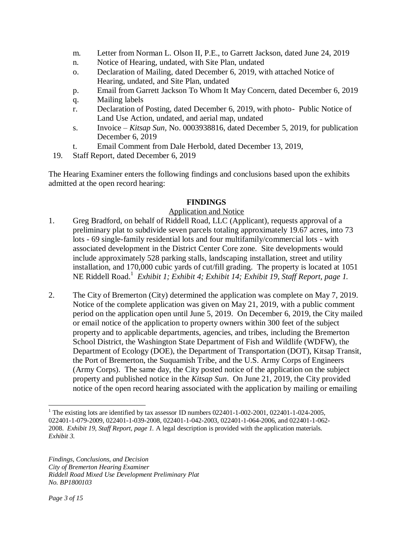- m. Letter from Norman L. Olson II, P.E., to Garrett Jackson, dated June 24, 2019
- n. Notice of Hearing, undated, with Site Plan, undated
- o. Declaration of Mailing, dated December 6, 2019, with attached Notice of Hearing, undated, and Site Plan, undated
- p. Email from Garrett Jackson To Whom It May Concern, dated December 6, 2019
- q. Mailing labels
- r. Declaration of Posting, dated December 6, 2019, with photo- Public Notice of Land Use Action, undated, and aerial map, undated
- s. Invoice *Kitsap Sun,* No. 0003938816, dated December 5, 2019, for publication December 6, 2019
- t. Email Comment from Dale Herbold, dated December 13, 2019,
- 19. Staff Report, dated December 6, 2019

The Hearing Examiner enters the following findings and conclusions based upon the exhibits admitted at the open record hearing:

## **FINDINGS**

# Application and Notice

- 1. Greg Bradford, on behalf of Riddell Road, LLC (Applicant), requests approval of a preliminary plat to subdivide seven parcels totaling approximately 19.67 acres, into 73 lots - 69 single-family residential lots and four multifamily/commercial lots - with associated development in the District Center Core zone. Site developments would include approximately 528 parking stalls, landscaping installation, street and utility installation, and 170,000 cubic yards of cut/fill grading. The property is located at 1051 NE Riddell Road. 1 *Exhibit 1; Exhibit 4; Exhibit 14; Exhibit 19, Staff Report, page 1.*
- 2. The City of Bremerton (City) determined the application was complete on May 7, 2019. Notice of the complete application was given on May 21, 2019, with a public comment period on the application open until June 5, 2019. On December 6, 2019, the City mailed or email notice of the application to property owners within 300 feet of the subject property and to applicable departments, agencies, and tribes, including the Bremerton School District, the Washington State Department of Fish and Wildlife (WDFW), the Department of Ecology (DOE), the Department of Transportation (DOT), Kitsap Transit, the Port of Bremerton, the Suquamish Tribe, and the U.S. Army Corps of Engineers (Army Corps). The same day, the City posted notice of the application on the subject property and published notice in the *Kitsap Sun*. On June 21, 2019, the City provided notice of the open record hearing associated with the application by mailing or emailing

 $\overline{a}$ <sup>1</sup> The existing lots are identified by tax assessor ID numbers 022401-1-002-2001, 022401-1-024-2005, 022401-1-079-2009, 022401-1-039-2008, 022401-1-042-2003, 022401-1-064-2006, and 022401-1-062- 2008. *Exhibit 19, Staff Report, page 1.* A legal description is provided with the application materials. *Exhibit 3.*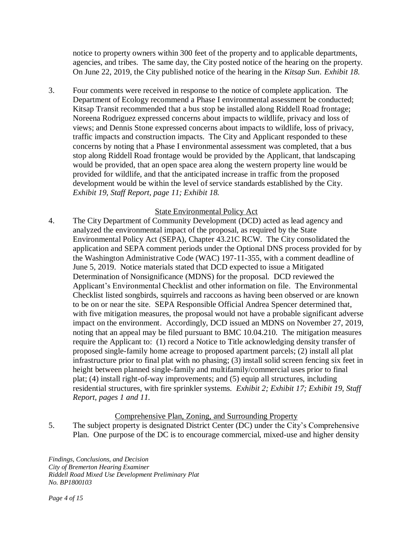notice to property owners within 300 feet of the property and to applicable departments, agencies, and tribes. The same day, the City posted notice of the hearing on the property. On June 22, 2019, the City published notice of the hearing in the *Kitsap Sun*. *Exhibit 18.* 

3. Four comments were received in response to the notice of complete application. The Department of Ecology recommend a Phase I environmental assessment be conducted; Kitsap Transit recommended that a bus stop be installed along Riddell Road frontage; Noreena Rodriguez expressed concerns about impacts to wildlife, privacy and loss of views; and Dennis Stone expressed concerns about impacts to wildlife, loss of privacy, traffic impacts and construction impacts. The City and Applicant responded to these concerns by noting that a Phase I environmental assessment was completed, that a bus stop along Riddell Road frontage would be provided by the Applicant, that landscaping would be provided, that an open space area along the western property line would be provided for wildlife, and that the anticipated increase in traffic from the proposed development would be within the level of service standards established by the City. *Exhibit 19, Staff Report, page 11; Exhibit 18.* 

## State Environmental Policy Act

4. The City Department of Community Development (DCD) acted as lead agency and analyzed the environmental impact of the proposal, as required by the State Environmental Policy Act (SEPA), Chapter 43.21C RCW. The City consolidated the application and SEPA comment periods under the Optional DNS process provided for by the Washington Administrative Code (WAC) 197-11-355, with a comment deadline of June 5, 2019. Notice materials stated that DCD expected to issue a Mitigated Determination of Nonsignificance (MDNS) for the proposal. DCD reviewed the Applicant's Environmental Checklist and other information on file. The Environmental Checklist listed songbirds, squirrels and raccoons as having been observed or are known to be on or near the site. SEPA Responsible Official Andrea Spencer determined that, with five mitigation measures, the proposal would not have a probable significant adverse impact on the environment. Accordingly, DCD issued an MDNS on November 27, 2019, noting that an appeal may be filed pursuant to BMC 10.04.210. The mitigation measures require the Applicant to: (1) record a Notice to Title acknowledging density transfer of proposed single-family home acreage to proposed apartment parcels; (2) install all plat infrastructure prior to final plat with no phasing; (3) install solid screen fencing six feet in height between planned single-family and multifamily/commercial uses prior to final plat; (4) install right-of-way improvements; and (5) equip all structures, including residential structures, with fire sprinkler systems. *Exhibit 2; Exhibit 17; Exhibit 19, Staff Report, pages 1 and 11.*

### Comprehensive Plan, Zoning, and Surrounding Property

5. The subject property is designated District Center (DC) under the City's Comprehensive Plan. One purpose of the DC is to encourage commercial, mixed-use and higher density

*Findings, Conclusions, and Decision City of Bremerton Hearing Examiner Riddell Road Mixed Use Development Preliminary Plat No. BP1800103*

*Page 4 of 15*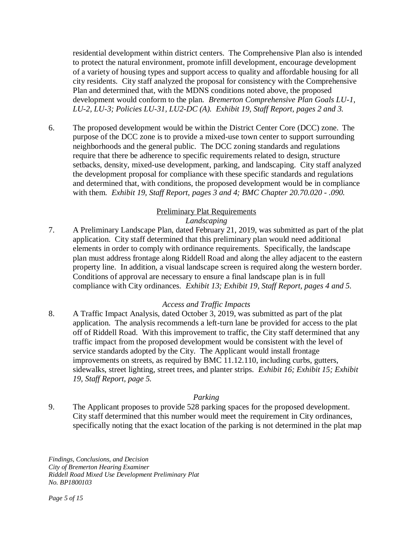residential development within district centers. The Comprehensive Plan also is intended to protect the natural environment, promote infill development, encourage development of a variety of housing types and support access to quality and affordable housing for all city residents. City staff analyzed the proposal for consistency with the Comprehensive Plan and determined that, with the MDNS conditions noted above, the proposed development would conform to the plan. *Bremerton Comprehensive Plan Goals LU-1, LU-2, LU-3; Policies LU-31, LU2-DC (A). Exhibit 19, Staff Report, pages 2 and 3.*

6. The proposed development would be within the District Center Core (DCC) zone. The purpose of the DCC zone is to provide a mixed-use town center to support surrounding neighborhoods and the general public. The DCC zoning standards and regulations require that there be adherence to specific requirements related to design, structure setbacks, density, mixed-use development, parking, and landscaping. City staff analyzed the development proposal for compliance with these specific standards and regulations and determined that, with conditions, the proposed development would be in compliance with them. *Exhibit 19, Staff Report, pages 3 and 4; BMC Chapter 20.70.020 - .090.* 

## Preliminary Plat Requirements

### *Landscaping*

7. A Preliminary Landscape Plan, dated February 21, 2019, was submitted as part of the plat application. City staff determined that this preliminary plan would need additional elements in order to comply with ordinance requirements. Specifically, the landscape plan must address frontage along Riddell Road and along the alley adjacent to the eastern property line. In addition, a visual landscape screen is required along the western border. Conditions of approval are necessary to ensure a final landscape plan is in full compliance with City ordinances. *Exhibit 13; Exhibit 19, Staff Report, pages 4 and 5.*

### *Access and Traffic Impacts*

8. A Traffic Impact Analysis, dated October 3, 2019, was submitted as part of the plat application. The analysis recommends a left-turn lane be provided for access to the plat off of Riddell Road. With this improvement to traffic, the City staff determined that any traffic impact from the proposed development would be consistent with the level of service standards adopted by the City. The Applicant would install frontage improvements on streets, as required by BMC 11.12.110, including curbs, gutters, sidewalks, street lighting, street trees, and planter strips. *Exhibit 16; Exhibit 15; Exhibit 19, Staff Report, page 5.*

### *Parking*

9. The Applicant proposes to provide 528 parking spaces for the proposed development. City staff determined that this number would meet the requirement in City ordinances, specifically noting that the exact location of the parking is not determined in the plat map

*Findings, Conclusions, and Decision City of Bremerton Hearing Examiner Riddell Road Mixed Use Development Preliminary Plat No. BP1800103*

*Page 5 of 15*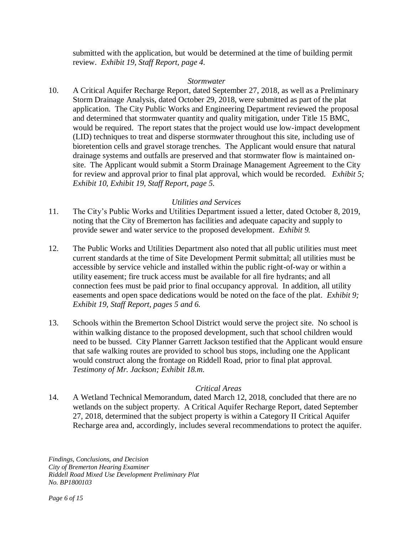submitted with the application, but would be determined at the time of building permit review. *Exhibit 19, Staff Report, page 4.*

#### *Stormwater*

10. A Critical Aquifer Recharge Report, dated September 27, 2018, as well as a Preliminary Storm Drainage Analysis, dated October 29, 2018, were submitted as part of the plat application. The City Public Works and Engineering Department reviewed the proposal and determined that stormwater quantity and quality mitigation, under Title 15 BMC, would be required. The report states that the project would use low-impact development (LID) techniques to treat and disperse stormwater throughout this site, including use of bioretention cells and gravel storage trenches. The Applicant would ensure that natural drainage systems and outfalls are preserved and that stormwater flow is maintained onsite. The Applicant would submit a Storm Drainage Management Agreement to the City for review and approval prior to final plat approval, which would be recorded. *Exhibit 5; Exhibit 10, Exhibit 19, Staff Report, page 5.*

### *Utilities and Services*

- 11. The City's Public Works and Utilities Department issued a letter, dated October 8, 2019, noting that the City of Bremerton has facilities and adequate capacity and supply to provide sewer and water service to the proposed development. *Exhibit 9.*
- 12. The Public Works and Utilities Department also noted that all public utilities must meet current standards at the time of Site Development Permit submittal; all utilities must be accessible by service vehicle and installed within the public right-of-way or within a utility easement; fire truck access must be available for all fire hydrants; and all connection fees must be paid prior to final occupancy approval. In addition, all utility easements and open space dedications would be noted on the face of the plat. *Exhibit 9; Exhibit 19, Staff Report, pages 5 and 6.*
- 13. Schools within the Bremerton School District would serve the project site. No school is within walking distance to the proposed development, such that school children would need to be bussed. City Planner Garrett Jackson testified that the Applicant would ensure that safe walking routes are provided to school bus stops, including one the Applicant would construct along the frontage on Riddell Road, prior to final plat approval. *Testimony of Mr. Jackson; Exhibit 18.m.*

### *Critical Areas*

14. A Wetland Technical Memorandum, dated March 12, 2018, concluded that there are no wetlands on the subject property. A Critical Aquifer Recharge Report, dated September 27, 2018, determined that the subject property is within a Category II Critical Aquifer Recharge area and, accordingly, includes several recommendations to protect the aquifer.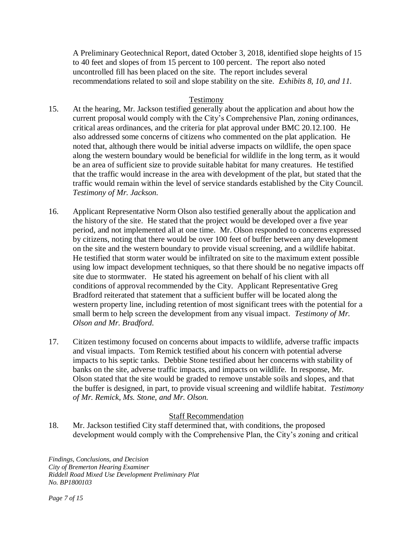A Preliminary Geotechnical Report, dated October 3, 2018, identified slope heights of 15 to 40 feet and slopes of from 15 percent to 100 percent. The report also noted uncontrolled fill has been placed on the site. The report includes several recommendations related to soil and slope stability on the site. *Exhibits 8, 10, and 11.* 

### Testimony

- 15. At the hearing, Mr. Jackson testified generally about the application and about how the current proposal would comply with the City's Comprehensive Plan, zoning ordinances, critical areas ordinances, and the criteria for plat approval under BMC 20.12.100*.* He also addressed some concerns of citizens who commented on the plat application. He noted that, although there would be initial adverse impacts on wildlife, the open space along the western boundary would be beneficial for wildlife in the long term, as it would be an area of sufficient size to provide suitable habitat for many creatures. He testified that the traffic would increase in the area with development of the plat, but stated that the traffic would remain within the level of service standards established by the City Council. *Testimony of Mr. Jackson.*
- 16. Applicant Representative Norm Olson also testified generally about the application and the history of the site. He stated that the project would be developed over a five year period, and not implemented all at one time. Mr. Olson responded to concerns expressed by citizens, noting that there would be over 100 feet of buffer between any development on the site and the western boundary to provide visual screening, and a wildlife habitat. He testified that storm water would be infiltrated on site to the maximum extent possible using low impact development techniques, so that there should be no negative impacts off site due to stormwater. He stated his agreement on behalf of his client with all conditions of approval recommended by the City. Applicant Representative Greg Bradford reiterated that statement that a sufficient buffer will be located along the western property line, including retention of most significant trees with the potential for a small berm to help screen the development from any visual impact. *Testimony of Mr. Olson and Mr. Bradford.*
- 17. Citizen testimony focused on concerns about impacts to wildlife, adverse traffic impacts and visual impacts. Tom Remick testified about his concern with potential adverse impacts to his septic tanks. Debbie Stone testified about her concerns with stability of banks on the site, adverse traffic impacts, and impacts on wildlife. In response, Mr. Olson stated that the site would be graded to remove unstable soils and slopes, and that the buffer is designed, in part, to provide visual screening and wildlife habitat. *Testimony of Mr. Remick, Ms. Stone, and Mr. Olson.*

### Staff Recommendation

18. Mr. Jackson testified City staff determined that, with conditions, the proposed development would comply with the Comprehensive Plan, the City's zoning and critical

*Findings, Conclusions, and Decision City of Bremerton Hearing Examiner Riddell Road Mixed Use Development Preliminary Plat No. BP1800103*

*Page 7 of 15*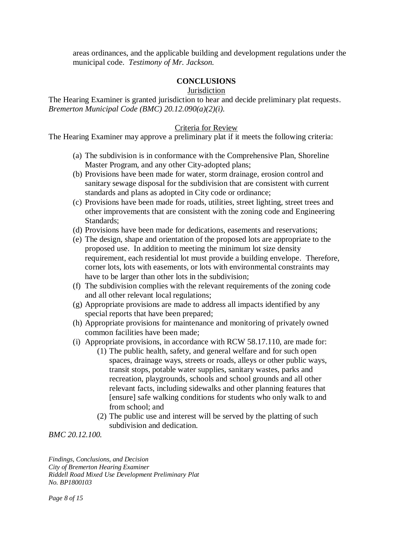areas ordinances, and the applicable building and development regulations under the municipal code. *Testimony of Mr. Jackson.*

## **CONCLUSIONS**

**Jurisdiction** 

The Hearing Examiner is granted jurisdiction to hear and decide preliminary plat requests. *Bremerton Municipal Code (BMC) 20.12.090(a)(2)(i).* 

### Criteria for Review

The Hearing Examiner may approve a preliminary plat if it meets the following criteria:

- (a) The subdivision is in conformance with the Comprehensive Plan, Shoreline Master Program, and any other City-adopted plans;
- (b) Provisions have been made for water, storm drainage, erosion control and sanitary sewage disposal for the subdivision that are consistent with current standards and plans as adopted in City code or ordinance;
- (c) Provisions have been made for roads, utilities, street lighting, street trees and other improvements that are consistent with the zoning code and Engineering Standards;
- (d) Provisions have been made for dedications, easements and reservations;
- (e) The design, shape and orientation of the proposed lots are appropriate to the proposed use. In addition to meeting the minimum lot size density requirement, each residential lot must provide a building envelope. Therefore, corner lots, lots with easements, or lots with environmental constraints may have to be larger than other lots in the subdivision;
- (f) The subdivision complies with the relevant requirements of the zoning code and all other relevant local regulations;
- (g) Appropriate provisions are made to address all impacts identified by any special reports that have been prepared;
- (h) Appropriate provisions for maintenance and monitoring of privately owned common facilities have been made;
- (i) Appropriate provisions, in accordance with RCW 58.17.110, are made for:
	- (1) The public health, safety, and general welfare and for such open spaces, drainage ways, streets or roads, alleys or other public ways, transit stops, potable water supplies, sanitary wastes, parks and recreation, playgrounds, schools and school grounds and all other relevant facts, including sidewalks and other planning features that [ensure] safe walking conditions for students who only walk to and from school; and
	- (2) The public use and interest will be served by the platting of such subdivision and dedication.

*BMC 20.12.100.*

*Findings, Conclusions, and Decision City of Bremerton Hearing Examiner Riddell Road Mixed Use Development Preliminary Plat No. BP1800103*

*Page 8 of 15*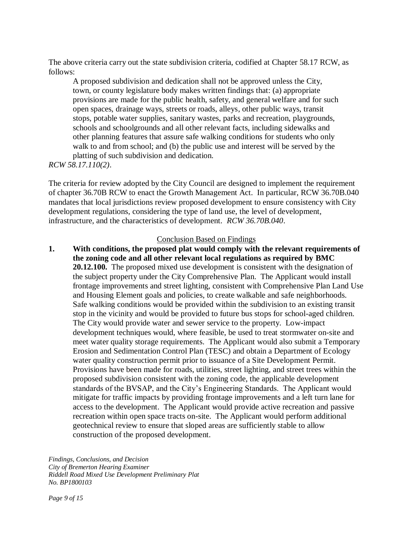The above criteria carry out the state subdivision criteria, codified at Chapter 58.17 RCW, as follows:

A proposed subdivision and dedication shall not be approved unless the City, town, or county legislature body makes written findings that: (a) appropriate provisions are made for the public health, safety, and general welfare and for such open spaces, drainage ways, streets or roads, alleys, other public ways, transit stops, potable water supplies, sanitary wastes, parks and recreation, playgrounds, schools and schoolgrounds and all other relevant facts, including sidewalks and other planning features that assure safe walking conditions for students who only walk to and from school; and (b) the public use and interest will be served by the platting of such subdivision and dedication.

*RCW 58.17.110(2)*.

The criteria for review adopted by the City Council are designed to implement the requirement of chapter 36.70B RCW to enact the Growth Management Act. In particular, RCW 36.70B.040 mandates that local jurisdictions review proposed development to ensure consistency with City development regulations, considering the type of land use, the level of development, infrastructure, and the characteristics of development. *RCW 36.70B.040*.

#### Conclusion Based on Findings

**1. With conditions, the proposed plat would comply with the relevant requirements of the zoning code and all other relevant local regulations as required by BMC 20.12.100.** The proposed mixed use development is consistent with the designation of the subject property under the City Comprehensive Plan. The Applicant would install frontage improvements and street lighting, consistent with Comprehensive Plan Land Use and Housing Element goals and policies, to create walkable and safe neighborhoods. Safe walking conditions would be provided within the subdivision to an existing transit stop in the vicinity and would be provided to future bus stops for school-aged children. The City would provide water and sewer service to the property. Low-impact development techniques would, where feasible, be used to treat stormwater on-site and meet water quality storage requirements. The Applicant would also submit a Temporary Erosion and Sedimentation Control Plan (TESC) and obtain a Department of Ecology water quality construction permit prior to issuance of a Site Development Permit. Provisions have been made for roads, utilities, street lighting, and street trees within the proposed subdivision consistent with the zoning code, the applicable development standards of the BVSAP, and the City's Engineering Standards. The Applicant would mitigate for traffic impacts by providing frontage improvements and a left turn lane for access to the development. The Applicant would provide active recreation and passive recreation within open space tracts on-site.The Applicant would perform additional geotechnical review to ensure that sloped areas are sufficiently stable to allow construction of the proposed development.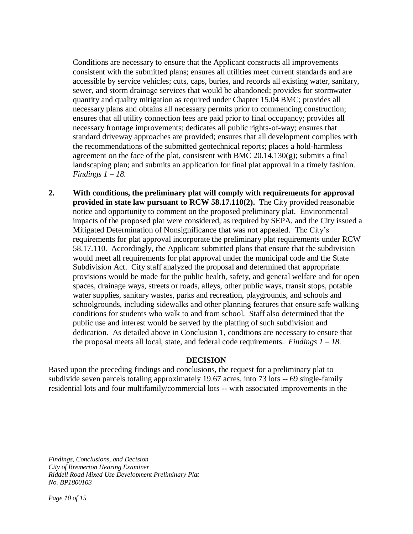Conditions are necessary to ensure that the Applicant constructs all improvements consistent with the submitted plans; ensures all utilities meet current standards and are accessible by service vehicles; cuts, caps, buries, and records all existing water, sanitary, sewer, and storm drainage services that would be abandoned; provides for stormwater quantity and quality mitigation as required under Chapter 15.04 BMC; provides all necessary plans and obtains all necessary permits prior to commencing construction; ensures that all utility connection fees are paid prior to final occupancy; provides all necessary frontage improvements; dedicates all public rights-of-way; ensures that standard driveway approaches are provided; ensures that all development complies with the recommendations of the submitted geotechnical reports; places a hold-harmless agreement on the face of the plat, consistent with BMC 20.14.130 $(g)$ ; submits a final landscaping plan; and submits an application for final plat approval in a timely fashion. *Findings 1 – 18.* 

**2. With conditions, the preliminary plat will comply with requirements for approval provided in state law pursuant to RCW 58.17.110(2).** The City provided reasonable notice and opportunity to comment on the proposed preliminary plat. Environmental impacts of the proposed plat were considered, as required by SEPA, and the City issued a Mitigated Determination of Nonsignificance that was not appealed. The City's requirements for plat approval incorporate the preliminary plat requirements under RCW 58.17.110. Accordingly, the Applicant submitted plans that ensure that the subdivision would meet all requirements for plat approval under the municipal code and the State Subdivision Act. City staff analyzed the proposal and determined that appropriate provisions would be made for the public health, safety, and general welfare and for open spaces, drainage ways, streets or roads, alleys, other public ways, transit stops, potable water supplies, sanitary wastes, parks and recreation, playgrounds, and schools and schoolgrounds, including sidewalks and other planning features that ensure safe walking conditions for students who walk to and from school. Staff also determined that the public use and interest would be served by the platting of such subdivision and dedication. As detailed above in Conclusion 1, conditions are necessary to ensure that the proposal meets all local, state, and federal code requirements. *Findings 1 – 18.*

### **DECISION**

Based upon the preceding findings and conclusions, the request for a preliminary plat to subdivide seven parcels totaling approximately 19.67 acres, into 73 lots -- 69 single-family residential lots and four multifamily/commercial lots -- with associated improvements in the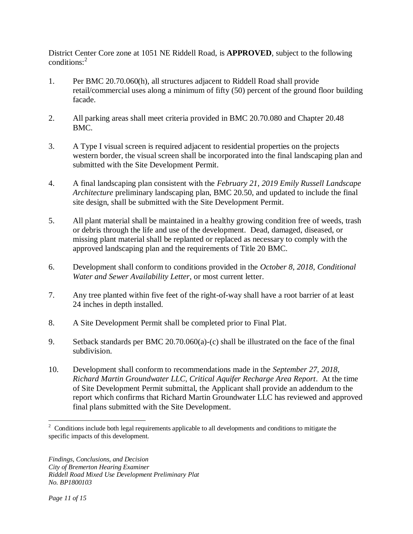District Center Core zone at 1051 NE Riddell Road, is **APPROVED**, subject to the following conditions:<sup>2</sup>

- 1. Per BMC 20.70.060(h), all structures adjacent to Riddell Road shall provide retail/commercial uses along a minimum of fifty (50) percent of the ground floor building facade.
- 2. All parking areas shall meet criteria provided in BMC 20.70.080 and Chapter 20.48 BMC.
- 3. A Type I visual screen is required adjacent to residential properties on the projects western border, the visual screen shall be incorporated into the final landscaping plan and submitted with the Site Development Permit.
- 4. A final landscaping plan consistent with the *February 21, 2019 Emily Russell Landscape Architecture* preliminary landscaping plan, BMC 20.50, and updated to include the final site design, shall be submitted with the Site Development Permit.
- 5. All plant material shall be maintained in a healthy growing condition free of weeds, trash or debris through the life and use of the development. Dead, damaged, diseased, or missing plant material shall be replanted or replaced as necessary to comply with the approved landscaping plan and the requirements of Title 20 BMC.
- 6. Development shall conform to conditions provided in the *October 8, 2018, Conditional Water and Sewer Availability Letter*, or most current letter.
- 7. Any tree planted within five feet of the right-of-way shall have a root barrier of at least 24 inches in depth installed.
- 8. A Site Development Permit shall be completed prior to Final Plat.
- 9. Setback standards per BMC 20.70.060(a)-(c) shall be illustrated on the face of the final subdivision.
- 10. Development shall conform to recommendations made in the *September 27, 2018, Richard Martin Groundwater LLC, Critical Aquifer Recharge Area Report*. At the time of Site Development Permit submittal, the Applicant shall provide an addendum to the report which confirms that Richard Martin Groundwater LLC has reviewed and approved final plans submitted with the Site Development.

 $\overline{a}$  $2^2$  Conditions include both legal requirements applicable to all developments and conditions to mitigate the specific impacts of this development.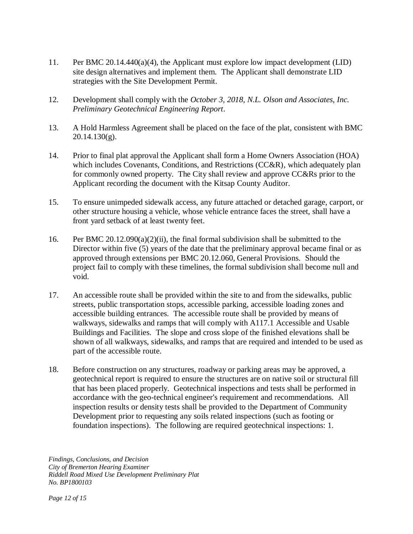- 11. Per BMC 20.14.440(a)(4), the Applicant must explore low impact development (LID) site design alternatives and implement them. The Applicant shall demonstrate LID strategies with the Site Development Permit.
- 12. Development shall comply with the *October 3, 2018, N.L. Olson and Associates, Inc. Preliminary Geotechnical Engineering Report*.
- 13. A Hold Harmless Agreement shall be placed on the face of the plat, consistent with BMC 20.14.130(g).
- 14. Prior to final plat approval the Applicant shall form a Home Owners Association (HOA) which includes Covenants, Conditions, and Restrictions (CC&R), which adequately plan for commonly owned property. The City shall review and approve CC&Rs prior to the Applicant recording the document with the Kitsap County Auditor.
- 15. To ensure unimpeded sidewalk access, any future attached or detached garage, carport, or other structure housing a vehicle, whose vehicle entrance faces the street, shall have a front yard setback of at least twenty feet.
- 16. Per BMC  $20.12.090(a)(2)(ii)$ , the final formal subdivision shall be submitted to the Director within five (5) years of the date that the preliminary approval became final or as approved through extensions per BMC 20.12.060, General Provisions. Should the project fail to comply with these timelines, the formal subdivision shall become null and void.
- 17. An accessible route shall be provided within the site to and from the sidewalks, public streets, public transportation stops, accessible parking, accessible loading zones and accessible building entrances. The accessible route shall be provided by means of walkways, sidewalks and ramps that will comply with A117.1 Accessible and Usable Buildings and Facilities. The slope and cross slope of the finished elevations shall be shown of all walkways, sidewalks, and ramps that are required and intended to be used as part of the accessible route.
- 18. Before construction on any structures, roadway or parking areas may be approved, a geotechnical report is required to ensure the structures are on native soil or structural fill that has been placed properly. Geotechnical inspections and tests shall be performed in accordance with the geo-technical engineer's requirement and recommendations. All inspection results or density tests shall be provided to the Department of Community Development prior to requesting any soils related inspections (such as footing or foundation inspections). The following are required geotechnical inspections: 1.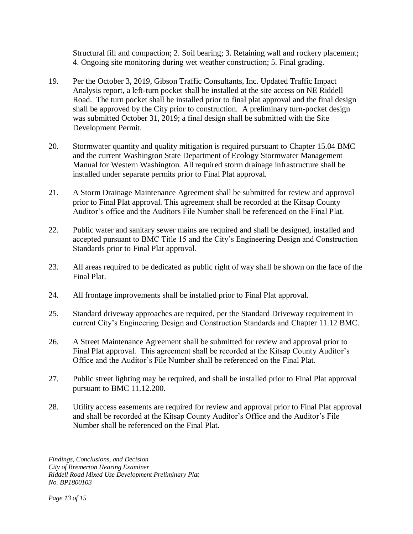Structural fill and compaction; 2. Soil bearing; 3. Retaining wall and rockery placement; 4. Ongoing site monitoring during wet weather construction; 5. Final grading.

- 19. Per the October 3, 2019, Gibson Traffic Consultants, Inc. Updated Traffic Impact Analysis report, a left-turn pocket shall be installed at the site access on NE Riddell Road. The turn pocket shall be installed prior to final plat approval and the final design shall be approved by the City prior to construction. A preliminary turn-pocket design was submitted October 31, 2019; a final design shall be submitted with the Site Development Permit.
- 20. Stormwater quantity and quality mitigation is required pursuant to Chapter 15.04 BMC and the current Washington State Department of Ecology Stormwater Management Manual for Western Washington. All required storm drainage infrastructure shall be installed under separate permits prior to Final Plat approval.
- 21. A Storm Drainage Maintenance Agreement shall be submitted for review and approval prior to Final Plat approval. This agreement shall be recorded at the Kitsap County Auditor's office and the Auditors File Number shall be referenced on the Final Plat.
- 22. Public water and sanitary sewer mains are required and shall be designed, installed and accepted pursuant to BMC Title 15 and the City's Engineering Design and Construction Standards prior to Final Plat approval.
- 23. All areas required to be dedicated as public right of way shall be shown on the face of the Final Plat.
- 24. All frontage improvements shall be installed prior to Final Plat approval.
- 25. Standard driveway approaches are required, per the Standard Driveway requirement in current City's Engineering Design and Construction Standards and Chapter 11.12 BMC.
- 26. A Street Maintenance Agreement shall be submitted for review and approval prior to Final Plat approval. This agreement shall be recorded at the Kitsap County Auditor's Office and the Auditor's File Number shall be referenced on the Final Plat.
- 27. Public street lighting may be required, and shall be installed prior to Final Plat approval pursuant to BMC 11.12.200.
- 28. Utility access easements are required for review and approval prior to Final Plat approval and shall be recorded at the Kitsap County Auditor's Office and the Auditor's File Number shall be referenced on the Final Plat.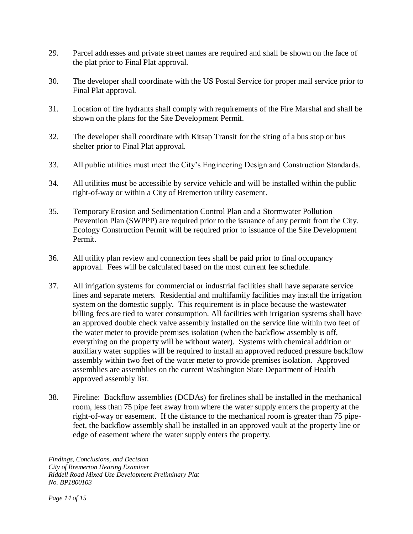- 29. Parcel addresses and private street names are required and shall be shown on the face of the plat prior to Final Plat approval.
- 30. The developer shall coordinate with the US Postal Service for proper mail service prior to Final Plat approval.
- 31. Location of fire hydrants shall comply with requirements of the Fire Marshal and shall be shown on the plans for the Site Development Permit.
- 32. The developer shall coordinate with Kitsap Transit for the siting of a bus stop or bus shelter prior to Final Plat approval.
- 33. All public utilities must meet the City's Engineering Design and Construction Standards.
- 34. All utilities must be accessible by service vehicle and will be installed within the public right-of-way or within a City of Bremerton utility easement.
- 35. Temporary Erosion and Sedimentation Control Plan and a Stormwater Pollution Prevention Plan (SWPPP) are required prior to the issuance of any permit from the City. Ecology Construction Permit will be required prior to issuance of the Site Development Permit.
- 36. All utility plan review and connection fees shall be paid prior to final occupancy approval. Fees will be calculated based on the most current fee schedule.
- 37. All irrigation systems for commercial or industrial facilities shall have separate service lines and separate meters. Residential and multifamily facilities may install the irrigation system on the domestic supply. This requirement is in place because the wastewater billing fees are tied to water consumption. All facilities with irrigation systems shall have an approved double check valve assembly installed on the service line within two feet of the water meter to provide premises isolation (when the backflow assembly is off, everything on the property will be without water). Systems with chemical addition or auxiliary water supplies will be required to install an approved reduced pressure backflow assembly within two feet of the water meter to provide premises isolation. Approved assemblies are assemblies on the current Washington State Department of Health approved assembly list.
- 38. Fireline: Backflow assemblies (DCDAs) for firelines shall be installed in the mechanical room, less than 75 pipe feet away from where the water supply enters the property at the right-of-way or easement. If the distance to the mechanical room is greater than 75 pipefeet, the backflow assembly shall be installed in an approved vault at the property line or edge of easement where the water supply enters the property.